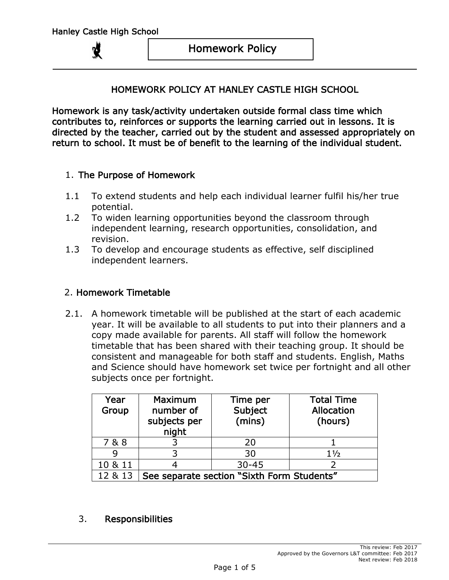#### HOMEWORK POLICY AT HANLEY CASTLE HIGH SCHOOL

Homework is any task/activity undertaken outside formal class time which contributes to, reinforces or supports the learning carried out in lessons. It is directed by the teacher, carried out by the student and assessed appropriately on return to school. It must be of benefit to the learning of the individual student.

#### 1. The Purpose of Homework

- 1.1 To extend students and help each individual learner fulfil his/her true potential.
- 1.2 To widen learning opportunities beyond the classroom through independent learning, research opportunities, consolidation, and revision.
- 1.3 To develop and encourage students as effective, self disciplined independent learners.

### 2. Homework Timetable

2.1. A homework timetable will be published at the start of each academic year. It will be available to all students to put into their planners and a copy made available for parents. All staff will follow the homework timetable that has been shared with their teaching group. It should be consistent and manageable for both staff and students. English, Maths and Science should have homework set twice per fortnight and all other subjects once per fortnight.

| Year<br>Group | Maximum<br>number of<br>subjects per<br>night | Time per<br>Subject<br>(mins) | <b>Total Time</b><br>Allocation<br>(hours) |
|---------------|-----------------------------------------------|-------------------------------|--------------------------------------------|
| 7 & 8         |                                               | 20                            |                                            |
|               |                                               | 30                            | $1\frac{1}{2}$                             |
| 10 & 11       |                                               | $30 - 45$                     |                                            |
| 12 & 13       | See separate section "Sixth Form Students"    |                               |                                            |

3. Responsibilities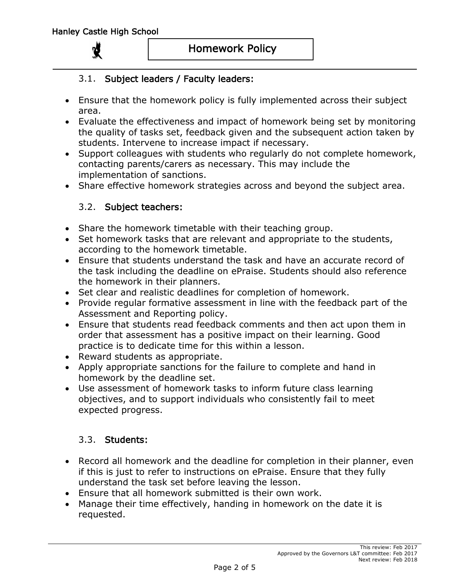#### Homework Policy

### 3.1. Subject leaders / Faculty leaders:

- Ensure that the homework policy is fully implemented across their subject area.
- Evaluate the effectiveness and impact of homework being set by monitoring the quality of tasks set, feedback given and the subsequent action taken by students. Intervene to increase impact if necessary.
- Support colleagues with students who regularly do not complete homework, contacting parents/carers as necessary. This may include the implementation of sanctions.
- Share effective homework strategies across and beyond the subject area.

### 3.2. Subject teachers:

- Share the homework timetable with their teaching group.
- Set homework tasks that are relevant and appropriate to the students, according to the homework timetable.
- Ensure that students understand the task and have an accurate record of the task including the deadline on ePraise. Students should also reference the homework in their planners.
- Set clear and realistic deadlines for completion of homework.
- Provide regular formative assessment in line with the feedback part of the Assessment and Reporting policy.
- Ensure that students read feedback comments and then act upon them in order that assessment has a positive impact on their learning. Good practice is to dedicate time for this within a lesson.
- Reward students as appropriate.
- Apply appropriate sanctions for the failure to complete and hand in homework by the deadline set.
- Use assessment of homework tasks to inform future class learning objectives, and to support individuals who consistently fail to meet expected progress.

### 3.3. Students:

- Record all homework and the deadline for completion in their planner, even if this is just to refer to instructions on ePraise. Ensure that they fully understand the task set before leaving the lesson.
- Ensure that all homework submitted is their own work.
- Manage their time effectively, handing in homework on the date it is requested.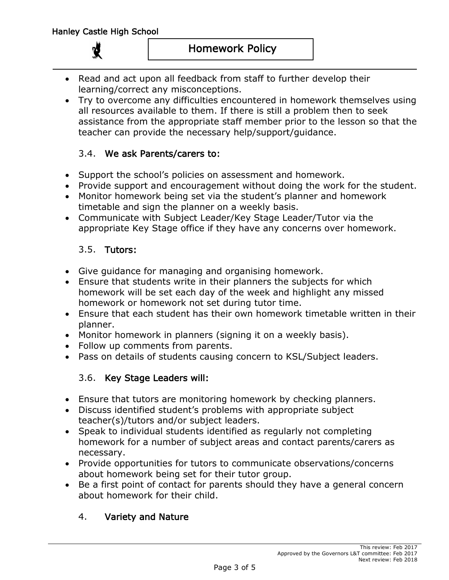- Read and act upon all feedback from staff to further develop their learning/correct any misconceptions.
- Try to overcome any difficulties encountered in homework themselves using all resources available to them. If there is still a problem then to seek assistance from the appropriate staff member prior to the lesson so that the teacher can provide the necessary help/support/guidance.

### 3.4. We ask Parents/carers to:

- Support the school's policies on assessment and homework.
- Provide support and encouragement without doing the work for the student.
- Monitor homework being set via the student's planner and homework timetable and sign the planner on a weekly basis.
- Communicate with Subject Leader/Key Stage Leader/Tutor via the appropriate Key Stage office if they have any concerns over homework.

## 3.5. Tutors:

- Give guidance for managing and organising homework.
- Ensure that students write in their planners the subjects for which homework will be set each day of the week and highlight any missed homework or homework not set during tutor time.
- Ensure that each student has their own homework timetable written in their planner.
- Monitor homework in planners (signing it on a weekly basis).
- Follow up comments from parents.
- Pass on details of students causing concern to KSL/Subject leaders.

### 3.6. Key Stage Leaders will:

- Ensure that tutors are monitoring homework by checking planners.
- Discuss identified student's problems with appropriate subject teacher(s)/tutors and/or subject leaders.
- Speak to individual students identified as regularly not completing homework for a number of subject areas and contact parents/carers as necessary.
- Provide opportunities for tutors to communicate observations/concerns about homework being set for their tutor group.
- Be a first point of contact for parents should they have a general concern about homework for their child.

## 4. Variety and Nature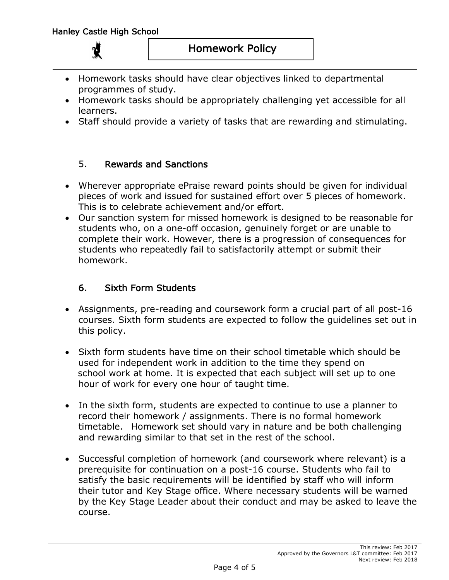- Homework tasks should have clear objectives linked to departmental programmes of study.
- Homework tasks should be appropriately challenging yet accessible for all learners.
- Staff should provide a variety of tasks that are rewarding and stimulating.

### 5. Rewards and Sanctions

- Wherever appropriate ePraise reward points should be given for individual pieces of work and issued for sustained effort over 5 pieces of homework. This is to celebrate achievement and/or effort.
- Our sanction system for missed homework is designed to be reasonable for students who, on a one-off occasion, genuinely forget or are unable to complete their work. However, there is a progression of consequences for students who repeatedly fail to satisfactorily attempt or submit their homework.

## 6. Sixth Form Students

- Assignments, pre-reading and coursework form a crucial part of all post-16 courses. Sixth form students are expected to follow the guidelines set out in this policy.
- Sixth form students have time on their school timetable which should be used for independent work in addition to the time they spend on school work at home. It is expected that each subject will set up to one hour of work for every one hour of taught time.
- In the sixth form, students are expected to continue to use a planner to record their homework / assignments. There is no formal homework timetable. Homework set should vary in nature and be both challenging and rewarding similar to that set in the rest of the school.
- Successful completion of homework (and coursework where relevant) is a prerequisite for continuation on a post-16 course. Students who fail to satisfy the basic requirements will be identified by staff who will inform their tutor and Key Stage office. Where necessary students will be warned by the Key Stage Leader about their conduct and may be asked to leave the course.